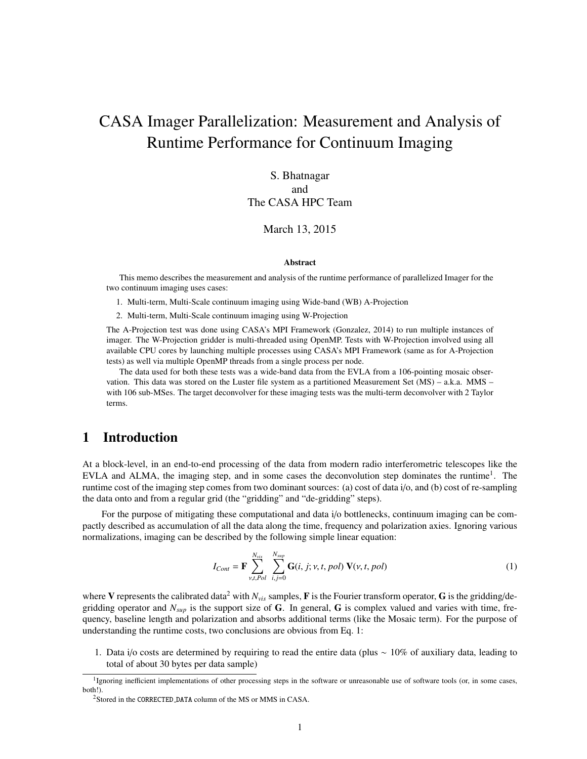# CASA Imager Parallelization: Measurement and Analysis of Runtime Performance for Continuum Imaging

# S. Bhatnagar and The CASA HPC Team

#### March 13, 2015

#### Abstract

This memo describes the measurement and analysis of the runtime performance of parallelized Imager for the two continuum imaging uses cases:

1. Multi-term, Multi-Scale continuum imaging using Wide-band (WB) A-Projection

2. Multi-term, Multi-Scale continuum imaging using W-Projection

The A-Projection test was done using CASA's MPI Framework (Gonzalez, 2014) to run multiple instances of imager. The W-Projection gridder is multi-threaded using OpenMP. Tests with W-Projection involved using all available CPU cores by launching multiple processes using CASA's MPI Framework (same as for A-Projection tests) as well via multiple OpenMP threads from a single process per node.

The data used for both these tests was a wide-band data from the EVLA from a 106-pointing mosaic observation. This data was stored on the Luster file system as a partitioned Measurement Set (MS) – a.k.a. MMS – with 106 sub-MSes. The target deconvolver for these imaging tests was the multi-term deconvolver with 2 Taylor terms.

# 1 Introduction

At a block-level, in an end-to-end processing of the data from modern radio interferometric telescopes like the EVLA and ALMA, the imaging step, and in some cases the deconvolution step dominates the runtime<sup>1</sup>. The runtime cost of the imaging step comes from two dominant sources: (a) cost of data i/o, and (b) cost of re-sampling the data onto and from a regular grid (the "gridding" and "de-gridding" steps).

For the purpose of mitigating these computational and data i/o bottlenecks, continuum imaging can be compactly described as accumulation of all the data along the time, frequency and polarization axies. Ignoring various normalizations, imaging can be described by the following simple linear equation:

$$
I_{Cont} = \mathbf{F} \sum_{\nu, t, Pol}^{N_{vis}} \sum_{i,j=0}^{N_{sup}} \mathbf{G}(i, j; \nu, t, pol) \mathbf{V}(\nu, t, pol)
$$
 (1)

where V represents the calibrated data<sup>2</sup> with  $N_{vis}$  samples, F is the Fourier transform operator, G is the gridding/degridding operator and *Nsup* is the support size of G. In general, G is complex valued and varies with time, frequency, baseline length and polarization and absorbs additional terms (like the Mosaic term). For the purpose of understanding the runtime costs, two conclusions are obvious from Eq. 1:

1. Data i/o costs are determined by requiring to read the entire data (plus ∼ 10% of auxiliary data, leading to total of about 30 bytes per data sample)

<sup>&</sup>lt;sup>1</sup>Ignoring inefficient implementations of other processing steps in the software or unreasonable use of software tools (or, in some cases, both!).

<sup>&</sup>lt;sup>2</sup>Stored in the CORRECTED\_DATA column of the MS or MMS in CASA.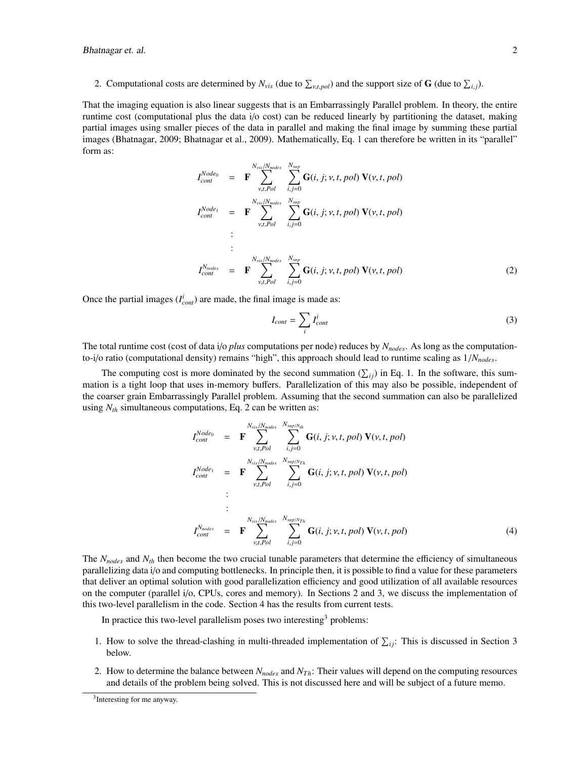2. Computational costs are determined by  $N_{vis}$  (due to  $\sum_{v,t,pol}$ ) and the support size of **G** (due to  $\sum_{i,j}$ ).

That the imaging equation is also linear suggests that is an Embarrassingly Parallel problem. In theory, the entire runtime cost (computational plus the data i/o cost) can be reduced linearly by partitioning the dataset, making partial images using smaller pieces of the data in parallel and making the final image by summing these partial images (Bhatnagar, 2009; Bhatnagar et al., 2009). Mathematically, Eq. 1 can therefore be written in its "parallel" form as:

$$
I_{cont}^{Node_0} = \mathbf{F} \sum_{\nu, t, Pol}^{N_{vis}/N_{nodes}} \sum_{i,j=0}^{N_{sup}} \mathbf{G}(i, j; \nu, t, pol) \mathbf{V}(\nu, t, pol)
$$
  
\n
$$
I_{cont}^{Node_1} = \mathbf{F} \sum_{\nu, t, Pol}^{N_{vis}/N_{nodes}} \sum_{i,j=0}^{N_{sup}} \mathbf{G}(i, j; \nu, t, pol) \mathbf{V}(\nu, t, pol)
$$
  
\n:  
\n:  
\n
$$
I_{cont}^{Node_1} = \mathbf{F} \sum_{\nu, t, Pol}^{N_{vis}/N_{nodes}} \sum_{i,j=0}^{N_{sup}} \mathbf{G}(i, j; \nu, t, pol) \mathbf{V}(\nu, t, pol)
$$
  
\n(2)

Once the partial images  $(I_{cont}^i)$  are made, the final image is made as:

$$
I_{cont} = \sum_{i} I_{cont}^{i} \tag{3}
$$

The total runtime cost (cost of data i/o *plus* computations per node) reduces by *Nnodes*. As long as the computationto-i/o ratio (computational density) remains "high", this approach should lead to runtime scaling as 1/*Nnodes*.

The computing cost is more dominated by the second summation  $(\sum_{ij})$  in Eq. 1. In the software, this summation is a tight loop that uses in-memory buffers. Parallelization of this may also be possible, independent of the coarser grain Embarrassingly Parallel problem. Assuming that the second summation can also be parallelized using  $N_{th}$  simultaneous computations, Eq. 2 can be written as:

$$
I_{cont}^{Node_0} = \mathbf{F} \sum_{\nu, t, Pol}^{N_{vis} / N_{nodes}} \sum_{i,j=0}^{N_{sup/N_{th}}} \mathbf{G}(i, j; \nu, t, pol) \mathbf{V}(\nu, t, pol)
$$
  
\n
$$
I_{cont}^{Node_1} = \mathbf{F} \sum_{\nu, t, Pol}^{N_{vis} / N_{nodes}} \sum_{i,j=0}^{N_{sup/N_{Th}}} \mathbf{G}(i, j; \nu, t, pol) \mathbf{V}(\nu, t, pol)
$$
  
\n:  
\n:  
\n:  
\n
$$
I_{cont}^{N_{nodes}} = \mathbf{F} \sum_{\nu, t, Pol}^{N_{vis} / N_{nodes}} \sum_{i,j=0}^{N_{sup/N_{Th}}} \mathbf{G}(i, j; \nu, t, pol) \mathbf{V}(\nu, t, pol)
$$
  
\n(4)

The *Nnodes* and *Nth* then become the two crucial tunable parameters that determine the efficiency of simultaneous parallelizing data i/o and computing bottlenecks. In principle then, it is possible to find a value for these parameters that deliver an optimal solution with good parallelization efficiency and good utilization of all available resources on the computer (parallel i/o, CPUs, cores and memory). In Sections 2 and 3, we discuss the implementation of this two-level parallelism in the code. Section 4 has the results from current tests.

In practice this two-level parallelism poses two interesting<sup>3</sup> problems:

- 1. How to solve the thread-clashing in multi-threaded implementation of  $\sum_{ij}$ : This is discussed in Section 3 below.
- 2. How to determine the balance between *Nnodes* and *NT h*: Their values will depend on the computing resources and details of the problem being solved. This is not discussed here and will be subject of a future memo.

<sup>3</sup> Interesting for me anyway.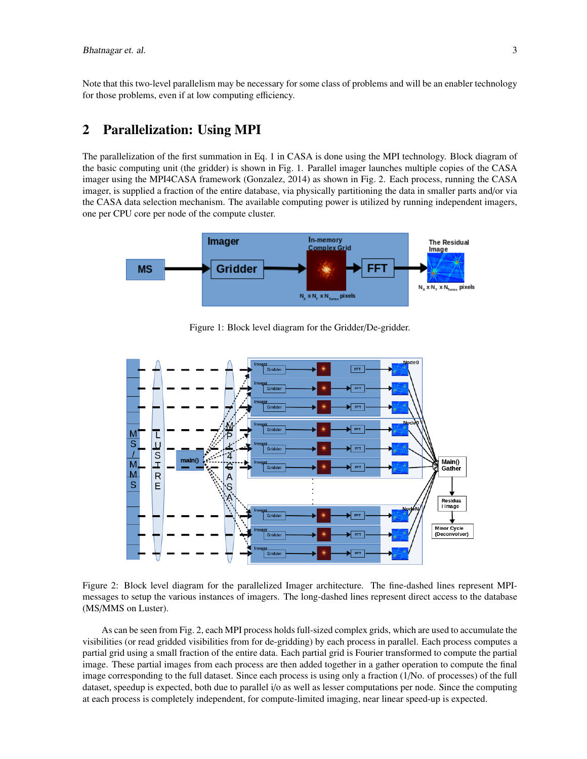Note that this two-level parallelism may be necessary for some class of problems and will be an enabler technology for those problems, even if at low computing efficiency.

# 2 Parallelization: Using MPI

The parallelization of the first summation in Eq. 1 in CASA is done using the MPI technology. Block diagram of the basic computing unit (the gridder) is shown in Fig. 1. Parallel imager launches multiple copies of the CASA imager using the MPI4CASA framework (Gonzalez, 2014) as shown in Fig. 2. Each process, running the CASA imager, is supplied a fraction of the entire database, via physically partitioning the data in smaller parts and/or via the CASA data selection mechanism. The available computing power is utilized by running independent imagers, one per CPU core per node of the compute cluster.



Figure 1: Block level diagram for the Gridder/De-gridder.



Figure 2: Block level diagram for the parallelized Imager architecture. The fine-dashed lines represent MPImessages to setup the various instances of imagers. The long-dashed lines represent direct access to the database (MS/MMS on Luster).

As can be seen from Fig. 2, each MPI process holds full-sized complex grids, which are used to accumulate the visibilities (or read gridded visibilities from for de-gridding) by each process in parallel. Each process computes a partial grid using a small fraction of the entire data. Each partial grid is Fourier transformed to compute the partial image. These partial images from each process are then added together in a gather operation to compute the final image corresponding to the full dataset. Since each process is using only a fraction (1/No. of processes) of the full dataset, speedup is expected, both due to parallel i/o as well as lesser computations per node. Since the computing at each process is completely independent, for compute-limited imaging, near linear speed-up is expected.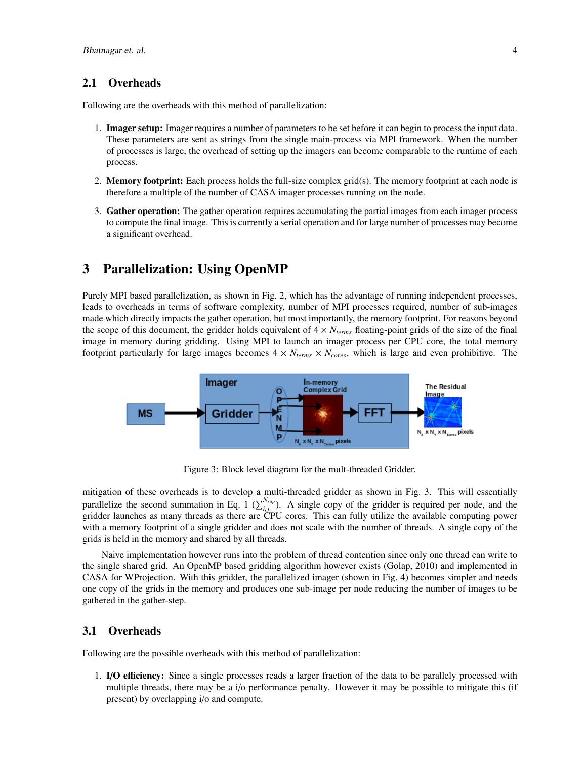#### 2.1 Overheads

Following are the overheads with this method of parallelization:

- 1. Imager setup: Imager requires a number of parameters to be set before it can begin to process the input data. These parameters are sent as strings from the single main-process via MPI framework. When the number of processes is large, the overhead of setting up the imagers can become comparable to the runtime of each process.
- 2. Memory footprint: Each process holds the full-size complex grid(s). The memory footprint at each node is therefore a multiple of the number of CASA imager processes running on the node.
- 3. Gather operation: The gather operation requires accumulating the partial images from each imager process to compute the final image. This is currently a serial operation and for large number of processes may become a significant overhead.

## 3 Parallelization: Using OpenMP

Purely MPI based parallelization, as shown in Fig. 2, which has the advantage of running independent processes, leads to overheads in terms of software complexity, number of MPI processes required, number of sub-images made which directly impacts the gather operation, but most importantly, the memory footprint. For reasons beyond the scope of this document, the gridder holds equivalent of  $4 \times N_{terms}$  floating-point grids of the size of the final image in memory during gridding. Using MPI to launch an imager process per CPU core, the total memory footprint particularly for large images becomes  $4 \times N_{terms} \times N_{cores}$ , which is large and even prohibitive. The



Figure 3: Block level diagram for the mult-threaded Gridder.

mitigation of these overheads is to develop a multi-threaded gridder as shown in Fig. 3. This will essentially parallelize the second summation in Eq. 1  $(\sum_{i,j}^{N_{sup}})$ . A single copy of the gridder is required per node, and the gridder launches as many threads as there are CPU cores. This can fully utilize the available computing gridder launches as many threads as there are CPU cores. This can fully utilize the available computing power with a memory footprint of a single gridder and does not scale with the number of threads. A single copy of the grids is held in the memory and shared by all threads.

Naive implementation however runs into the problem of thread contention since only one thread can write to the single shared grid. An OpenMP based gridding algorithm however exists (Golap, 2010) and implemented in CASA for WProjection. With this gridder, the parallelized imager (shown in Fig. 4) becomes simpler and needs one copy of the grids in the memory and produces one sub-image per node reducing the number of images to be gathered in the gather-step.

#### 3.1 Overheads

Following are the possible overheads with this method of parallelization:

1. I/O efficiency: Since a single processes reads a larger fraction of the data to be parallely processed with multiple threads, there may be a i/o performance penalty. However it may be possible to mitigate this (if present) by overlapping i/o and compute.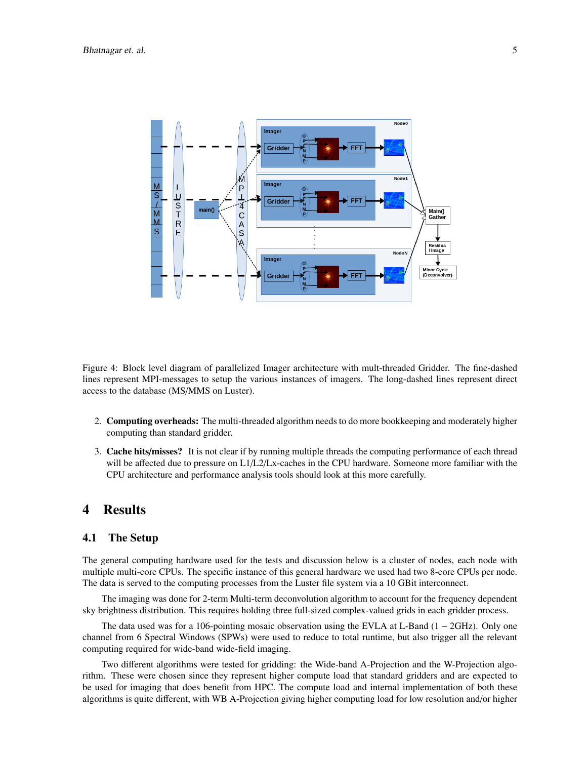

Figure 4: Block level diagram of parallelized Imager architecture with mult-threaded Gridder. The fine-dashed lines represent MPI-messages to setup the various instances of imagers. The long-dashed lines represent direct access to the database (MS/MMS on Luster).

- 2. Computing overheads: The multi-threaded algorithm needs to do more bookkeeping and moderately higher computing than standard gridder.
- 3. Cache hits/misses? It is not clear if by running multiple threads the computing performance of each thread will be affected due to pressure on L1/L2/Lx-caches in the CPU hardware. Someone more familiar with the CPU architecture and performance analysis tools should look at this more carefully.

## 4 Results

#### 4.1 The Setup

The general computing hardware used for the tests and discussion below is a cluster of nodes, each node with multiple multi-core CPUs. The specific instance of this general hardware we used had two 8-core CPUs per node. The data is served to the computing processes from the Luster file system via a 10 GBit interconnect.

The imaging was done for 2-term Multi-term deconvolution algorithm to account for the frequency dependent sky brightness distribution. This requires holding three full-sized complex-valued grids in each gridder process.

The data used was for a 106-pointing mosaic observation using the EVLA at L-Band (1 − 2GHz). Only one channel from 6 Spectral Windows (SPWs) were used to reduce to total runtime, but also trigger all the relevant computing required for wide-band wide-field imaging.

Two different algorithms were tested for gridding: the Wide-band A-Projection and the W-Projection algorithm. These were chosen since they represent higher compute load that standard gridders and are expected to be used for imaging that does benefit from HPC. The compute load and internal implementation of both these algorithms is quite different, with WB A-Projection giving higher computing load for low resolution and/or higher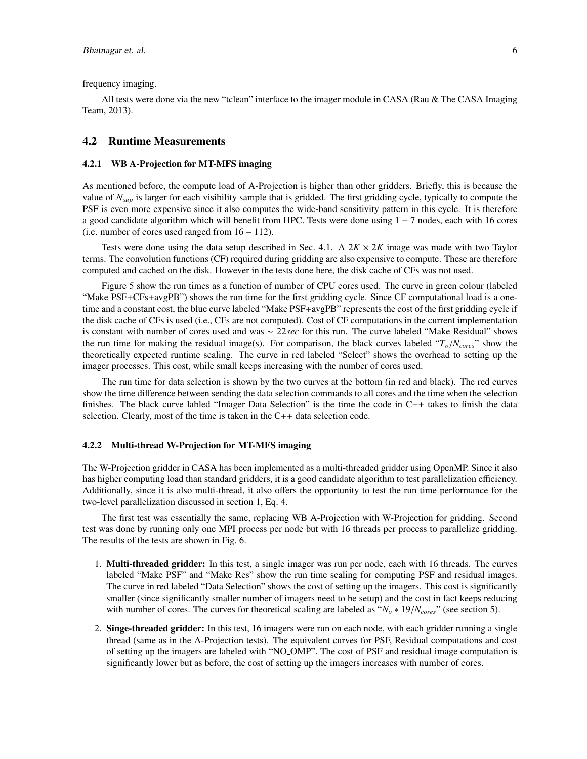frequency imaging.

All tests were done via the new "tclean" interface to the imager module in CASA (Rau & The CASA Imaging Team, 2013).

#### 4.2 Runtime Measurements

#### 4.2.1 WB A-Projection for MT-MFS imaging

As mentioned before, the compute load of A-Projection is higher than other gridders. Briefly, this is because the value of *Nsup* is larger for each visibility sample that is gridded. The first gridding cycle, typically to compute the PSF is even more expensive since it also computes the wide-band sensitivity pattern in this cycle. It is therefore a good candidate algorithm which will benefit from HPC. Tests were done using 1 − 7 nodes, each with 16 cores (i.e. number of cores used ranged from 16 − 112).

Tests were done using the data setup described in Sec. 4.1. A  $2K \times 2K$  image was made with two Taylor terms. The convolution functions (CF) required during gridding are also expensive to compute. These are therefore computed and cached on the disk. However in the tests done here, the disk cache of CFs was not used.

Figure 5 show the run times as a function of number of CPU cores used. The curve in green colour (labeled "Make PSF+CFs+avgPB") shows the run time for the first gridding cycle. Since CF computational load is a onetime and a constant cost, the blue curve labeled "Make PSF+avgPB" represents the cost of the first gridding cycle if the disk cache of CFs is used (i.e., CFs are not computed). Cost of CF computations in the current implementation is constant with number of cores used and was ∼ 22*sec* for this run. The curve labeled "Make Residual" shows the run time for making the residual image(s). For comparison, the black curves labeled " $T_o/N_{cores}$ " show the theoretically expected runtime scaling. The curve in red labeled "Select" shows the overhead to setting up the imager processes. This cost, while small keeps increasing with the number of cores used.

The run time for data selection is shown by the two curves at the bottom (in red and black). The red curves show the time difference between sending the data selection commands to all cores and the time when the selection finishes. The black curve labled "Imager Data Selection" is the time the code in C++ takes to finish the data selection. Clearly, most of the time is taken in the C++ data selection code.

#### 4.2.2 Multi-thread W-Projection for MT-MFS imaging

The W-Projection gridder in CASA has been implemented as a multi-threaded gridder using OpenMP. Since it also has higher computing load than standard gridders, it is a good candidate algorithm to test parallelization efficiency. Additionally, since it is also multi-thread, it also offers the opportunity to test the run time performance for the two-level parallelization discussed in section 1, Eq. 4.

The first test was essentially the same, replacing WB A-Projection with W-Projection for gridding. Second test was done by running only one MPI process per node but with 16 threads per process to parallelize gridding. The results of the tests are shown in Fig. 6.

- 1. Multi-threaded gridder: In this test, a single imager was run per node, each with 16 threads. The curves labeled "Make PSF" and "Make Res" show the run time scaling for computing PSF and residual images. The curve in red labeled "Data Selection" shows the cost of setting up the imagers. This cost is significantly smaller (since significantly smaller number of imagers need to be setup) and the cost in fact keeps reducing with number of cores. The curves for theoretical scaling are labeled as " $N<sub>o</sub> * 19/N<sub>cores</sub>$ " (see section 5).
- 2. Singe-threaded gridder: In this test, 16 imagers were run on each node, with each gridder running a single thread (same as in the A-Projection tests). The equivalent curves for PSF, Residual computations and cost of setting up the imagers are labeled with "NO OMP". The cost of PSF and residual image computation is significantly lower but as before, the cost of setting up the imagers increases with number of cores.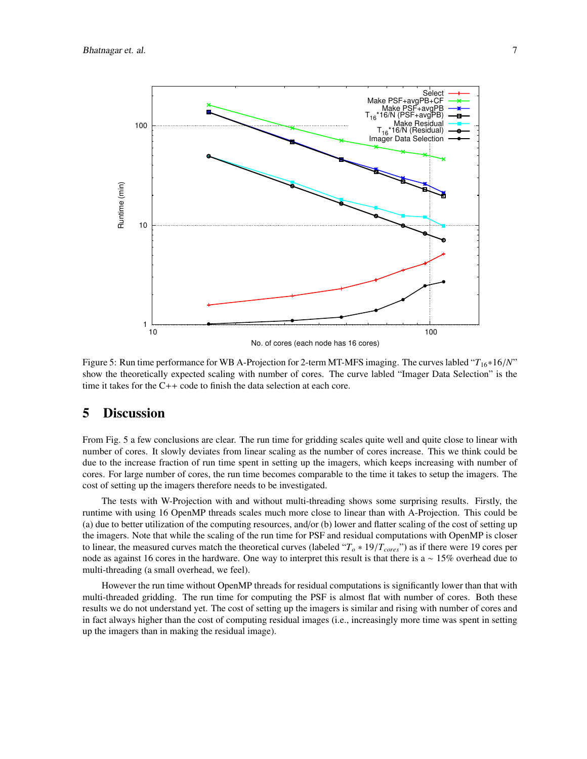

Figure 5: Run time performance for WB A-Projection for 2-term MT-MFS imaging. The curves labled "*T*16∗16/*N*" show the theoretically expected scaling with number of cores. The curve labled "Imager Data Selection" is the time it takes for the C++ code to finish the data selection at each core.

### 5 Discussion

From Fig. 5 a few conclusions are clear. The run time for gridding scales quite well and quite close to linear with number of cores. It slowly deviates from linear scaling as the number of cores increase. This we think could be due to the increase fraction of run time spent in setting up the imagers, which keeps increasing with number of cores. For large number of cores, the run time becomes comparable to the time it takes to setup the imagers. The cost of setting up the imagers therefore needs to be investigated.

The tests with W-Projection with and without multi-threading shows some surprising results. Firstly, the runtime with using 16 OpenMP threads scales much more close to linear than with A-Projection. This could be (a) due to better utilization of the computing resources, and/or (b) lower and flatter scaling of the cost of setting up the imagers. Note that while the scaling of the run time for PSF and residual computations with OpenMP is closer to linear, the measured curves match the theoretical curves (labeled " $T_o * 19/T_{cores}$ ") as if there were 19 cores per node as against 16 cores in the hardware. One way to interpret this result is that there is a ∼ 15% overhead due to multi-threading (a small overhead, we feel).

However the run time without OpenMP threads for residual computations is significantly lower than that with multi-threaded gridding. The run time for computing the PSF is almost flat with number of cores. Both these results we do not understand yet. The cost of setting up the imagers is similar and rising with number of cores and in fact always higher than the cost of computing residual images (i.e., increasingly more time was spent in setting up the imagers than in making the residual image).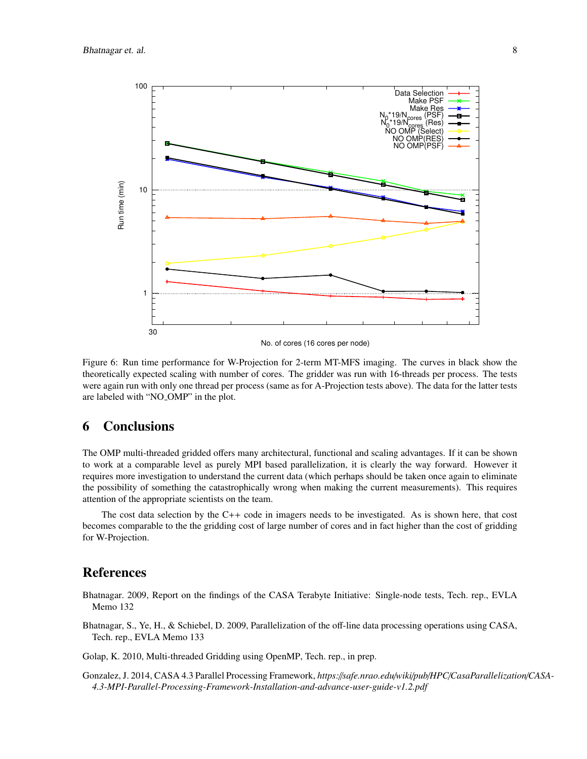

Figure 6: Run time performance for W-Projection for 2-term MT-MFS imaging. The curves in black show the theoretically expected scaling with number of cores. The gridder was run with 16-threads per process. The tests were again run with only one thread per process (same as for A-Projection tests above). The data for the latter tests are labeled with "NO OMP" in the plot.

# 6 Conclusions

The OMP multi-threaded gridded offers many architectural, functional and scaling advantages. If it can be shown to work at a comparable level as purely MPI based parallelization, it is clearly the way forward. However it requires more investigation to understand the current data (which perhaps should be taken once again to eliminate the possibility of something the catastrophically wrong when making the current measurements). This requires attention of the appropriate scientists on the team.

The cost data selection by the C++ code in imagers needs to be investigated. As is shown here, that cost becomes comparable to the the gridding cost of large number of cores and in fact higher than the cost of gridding for W-Projection.

#### References

Bhatnagar. 2009, Report on the findings of the CASA Terabyte Initiative: Single-node tests, Tech. rep., EVLA Memo 132

Bhatnagar, S., Ye, H., & Schiebel, D. 2009, Parallelization of the off-line data processing operations using CASA, Tech. rep., EVLA Memo 133

Golap, K. 2010, Multi-threaded Gridding using OpenMP, Tech. rep., in prep.

Gonzalez, J. 2014, CASA 4.3 Parallel Processing Framework, *https:*//*safe.nrao.edu*/*wiki*/*pub*/*HPC*/*CasaParallelization*/*CASA-4.3-MPI-Parallel-Processing-Framework-Installation-and-advance-user-guide-v1.2.pdf*